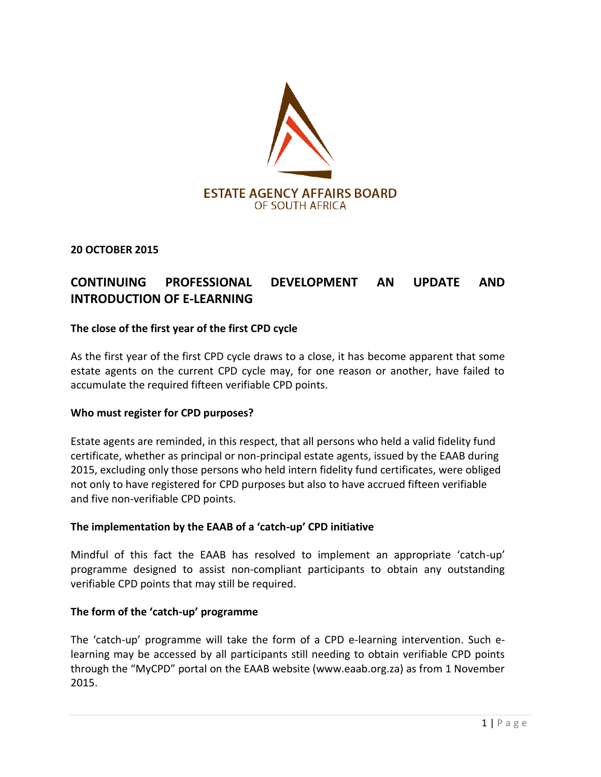

**20 OCTOBER 2015**

# **CONTINUING PROFESSIONAL DEVELOPMENT AN UPDATE AND INTRODUCTION OF E-LEARNING**

#### **The close of the first year of the first CPD cycle**

As the first year of the first CPD cycle draws to a close, it has become apparent that some estate agents on the current CPD cycle may, for one reason or another, have failed to accumulate the required fifteen verifiable CPD points.

#### **Who must register for CPD purposes?**

Estate agents are reminded, in this respect, that all persons who held a valid fidelity fund certificate, whether as principal or non-principal estate agents, issued by the EAAB during 2015, excluding only those persons who held intern fidelity fund certificates, were obliged not only to have registered for CPD purposes but also to have accrued fifteen verifiable and five non-verifiable CPD points.

#### **The implementation by the EAAB of a 'catch-up' CPD initiative**

Mindful of this fact the EAAB has resolved to implement an appropriate 'catch-up' programme designed to assist non-compliant participants to obtain any outstanding verifiable CPD points that may still be required.

#### **The form of the 'catch-up' programme**

The 'catch-up' programme will take the form of a CPD e-learning intervention. Such elearning may be accessed by all participants still needing to obtain verifiable CPD points through the "MyCPD" portal on the EAAB website (www.eaab.org.za) as from 1 November 2015.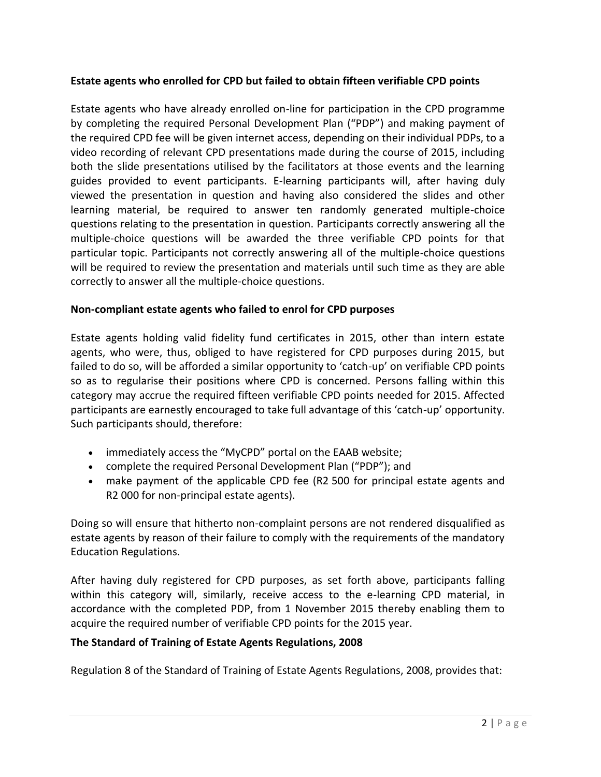# **Estate agents who enrolled for CPD but failed to obtain fifteen verifiable CPD points**

Estate agents who have already enrolled on-line for participation in the CPD programme by completing the required Personal Development Plan ("PDP") and making payment of the required CPD fee will be given internet access, depending on their individual PDPs, to a video recording of relevant CPD presentations made during the course of 2015, including both the slide presentations utilised by the facilitators at those events and the learning guides provided to event participants. E-learning participants will, after having duly viewed the presentation in question and having also considered the slides and other learning material, be required to answer ten randomly generated multiple-choice questions relating to the presentation in question. Participants correctly answering all the multiple-choice questions will be awarded the three verifiable CPD points for that particular topic. Participants not correctly answering all of the multiple-choice questions will be required to review the presentation and materials until such time as they are able correctly to answer all the multiple-choice questions.

#### **Non-compliant estate agents who failed to enrol for CPD purposes**

Estate agents holding valid fidelity fund certificates in 2015, other than intern estate agents, who were, thus, obliged to have registered for CPD purposes during 2015, but failed to do so, will be afforded a similar opportunity to 'catch-up' on verifiable CPD points so as to regularise their positions where CPD is concerned. Persons falling within this category may accrue the required fifteen verifiable CPD points needed for 2015. Affected participants are earnestly encouraged to take full advantage of this 'catch-up' opportunity. Such participants should, therefore:

- immediately access the "MyCPD" portal on the EAAB website;
- complete the required Personal Development Plan ("PDP"); and
- make payment of the applicable CPD fee (R2 500 for principal estate agents and R2 000 for non-principal estate agents).

Doing so will ensure that hitherto non-complaint persons are not rendered disqualified as estate agents by reason of their failure to comply with the requirements of the mandatory Education Regulations.

After having duly registered for CPD purposes, as set forth above, participants falling within this category will, similarly, receive access to the e-learning CPD material, in accordance with the completed PDP, from 1 November 2015 thereby enabling them to acquire the required number of verifiable CPD points for the 2015 year.

#### **The Standard of Training of Estate Agents Regulations, 2008**

Regulation 8 of the Standard of Training of Estate Agents Regulations, 2008, provides that: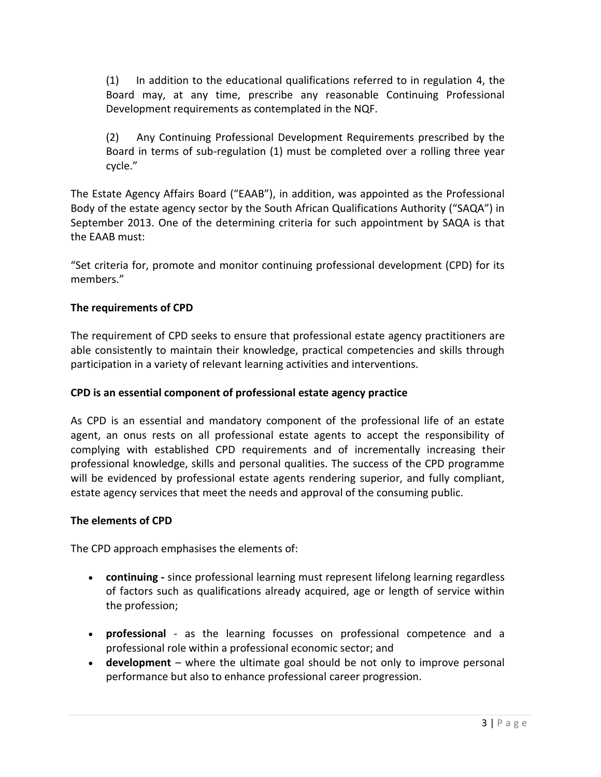(1) In addition to the educational qualifications referred to in regulation 4, the Board may, at any time, prescribe any reasonable Continuing Professional Development requirements as contemplated in the NQF.

(2) Any Continuing Professional Development Requirements prescribed by the Board in terms of sub-regulation (1) must be completed over a rolling three year cycle."

The Estate Agency Affairs Board ("EAAB"), in addition, was appointed as the Professional Body of the estate agency sector by the South African Qualifications Authority ("SAQA") in September 2013. One of the determining criteria for such appointment by SAQA is that the EAAB must:

"Set criteria for, promote and monitor continuing professional development (CPD) for its members."

#### **The requirements of CPD**

The requirement of CPD seeks to ensure that professional estate agency practitioners are able consistently to maintain their knowledge, practical competencies and skills through participation in a variety of relevant learning activities and interventions.

#### **CPD is an essential component of professional estate agency practice**

As CPD is an essential and mandatory component of the professional life of an estate agent, an onus rests on all professional estate agents to accept the responsibility of complying with established CPD requirements and of incrementally increasing their professional knowledge, skills and personal qualities. The success of the CPD programme will be evidenced by professional estate agents rendering superior, and fully compliant, estate agency services that meet the needs and approval of the consuming public.

#### **The elements of CPD**

The CPD approach emphasises the elements of:

- **continuing -** since professional learning must represent lifelong learning regardless of factors such as qualifications already acquired, age or length of service within the profession;
- **professional**  as the learning focusses on professional competence and a professional role within a professional economic sector; and
- **development**  where the ultimate goal should be not only to improve personal performance but also to enhance professional career progression.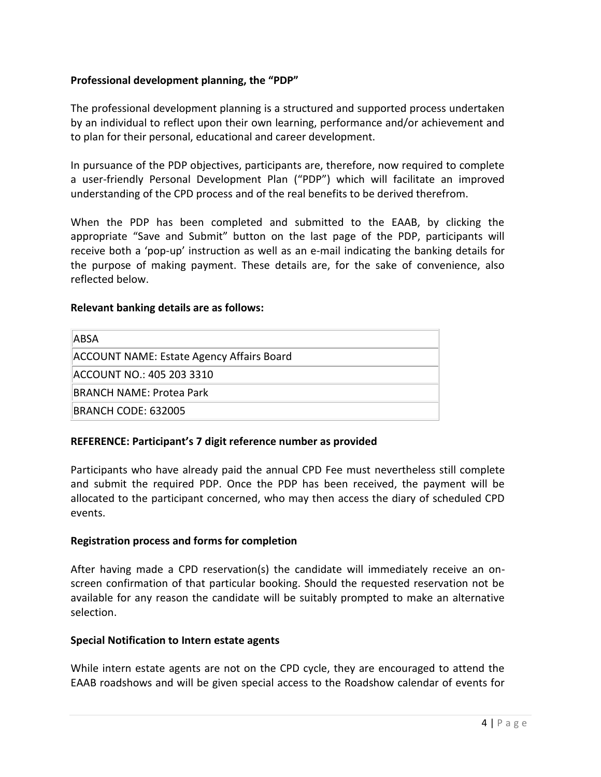# **Professional development planning, the "PDP"**

The professional development planning is a structured and supported process undertaken by an individual to reflect upon their own learning, performance and/or achievement and to plan for their personal, educational and career development.

In pursuance of the PDP objectives, participants are, therefore, now required to complete a user-friendly Personal Development Plan ("PDP") which will facilitate an improved understanding of the CPD process and of the real benefits to be derived therefrom.

When the PDP has been completed and submitted to the EAAB, by clicking the appropriate "Save and Submit" button on the last page of the PDP, participants will receive both a 'pop-up' instruction as well as an e-mail indicating the banking details for the purpose of making payment. These details are, for the sake of convenience, also reflected below.

#### **Relevant banking details are as follows:**

| <b>ABSA</b>                               |
|-------------------------------------------|
| ACCOUNT NAME: Estate Agency Affairs Board |
| ACCOUNT NO.: 405 203 3310                 |
| BRANCH NAME: Protea Park                  |
| BRANCH CODE: 632005                       |

#### **REFERENCE: Participant's 7 digit reference number as provided**

Participants who have already paid the annual CPD Fee must nevertheless still complete and submit the required PDP. Once the PDP has been received, the payment will be allocated to the participant concerned, who may then access the diary of scheduled CPD events.

#### **Registration process and forms for completion**

After having made a CPD reservation(s) the candidate will immediately receive an onscreen confirmation of that particular booking. Should the requested reservation not be available for any reason the candidate will be suitably prompted to make an alternative selection.

#### **Special Notification to Intern estate agents**

While intern estate agents are not on the CPD cycle, they are encouraged to attend the EAAB roadshows and will be given special access to the Roadshow calendar of events for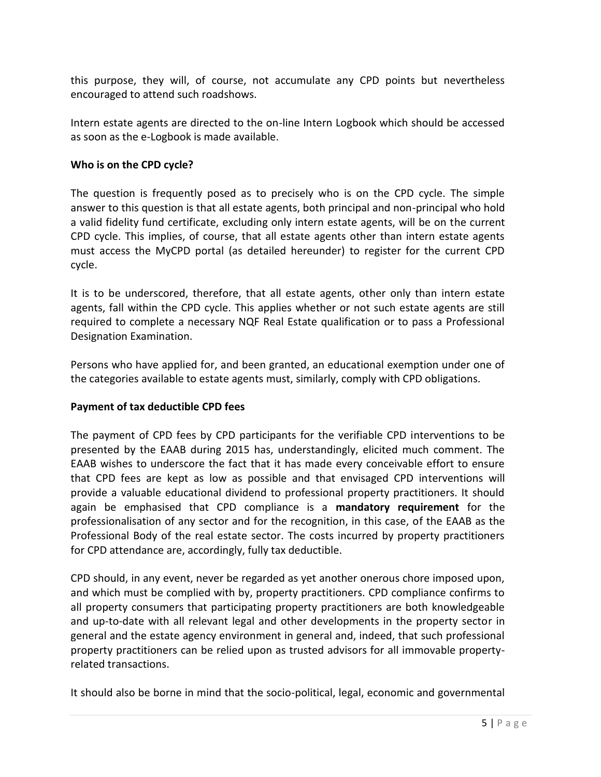this purpose, they will, of course, not accumulate any CPD points but nevertheless encouraged to attend such roadshows.

Intern estate agents are directed to the on-line Intern Logbook which should be accessed as soon as the e-Logbook is made available.

## **Who is on the CPD cycle?**

The question is frequently posed as to precisely who is on the CPD cycle. The simple answer to this question is that all estate agents, both principal and non-principal who hold a valid fidelity fund certificate, excluding only intern estate agents, will be on the current CPD cycle. This implies, of course, that all estate agents other than intern estate agents must access the MyCPD portal (as detailed hereunder) to register for the current CPD cycle.

It is to be underscored, therefore, that all estate agents, other only than intern estate agents, fall within the CPD cycle. This applies whether or not such estate agents are still required to complete a necessary NQF Real Estate qualification or to pass a Professional Designation Examination.

Persons who have applied for, and been granted, an educational exemption under one of the categories available to estate agents must, similarly, comply with CPD obligations.

#### **Payment of tax deductible CPD fees**

The payment of CPD fees by CPD participants for the verifiable CPD interventions to be presented by the EAAB during 2015 has, understandingly, elicited much comment. The EAAB wishes to underscore the fact that it has made every conceivable effort to ensure that CPD fees are kept as low as possible and that envisaged CPD interventions will provide a valuable educational dividend to professional property practitioners. It should again be emphasised that CPD compliance is a **mandatory requirement** for the professionalisation of any sector and for the recognition, in this case, of the EAAB as the Professional Body of the real estate sector. The costs incurred by property practitioners for CPD attendance are, accordingly, fully tax deductible.

CPD should, in any event, never be regarded as yet another onerous chore imposed upon, and which must be complied with by, property practitioners. CPD compliance confirms to all property consumers that participating property practitioners are both knowledgeable and up-to-date with all relevant legal and other developments in the property sector in general and the estate agency environment in general and, indeed, that such professional property practitioners can be relied upon as trusted advisors for all immovable propertyrelated transactions.

It should also be borne in mind that the socio-political, legal, economic and governmental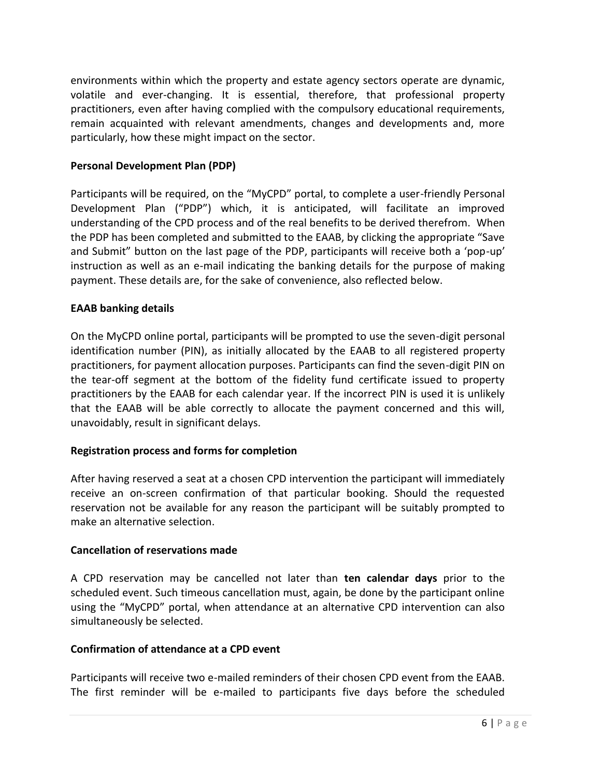environments within which the property and estate agency sectors operate are dynamic, volatile and ever-changing. It is essential, therefore, that professional property practitioners, even after having complied with the compulsory educational requirements, remain acquainted with relevant amendments, changes and developments and, more particularly, how these might impact on the sector.

## **Personal Development Plan (PDP)**

Participants will be required, on the "MyCPD" portal, to complete a user-friendly Personal Development Plan ("PDP") which, it is anticipated, will facilitate an improved understanding of the CPD process and of the real benefits to be derived therefrom. When the PDP has been completed and submitted to the EAAB, by clicking the appropriate "Save and Submit" button on the last page of the PDP, participants will receive both a 'pop-up' instruction as well as an e-mail indicating the banking details for the purpose of making payment. These details are, for the sake of convenience, also reflected below.

# **EAAB banking details**

On the MyCPD online portal, participants will be prompted to use the seven-digit personal identification number (PIN), as initially allocated by the EAAB to all registered property practitioners, for payment allocation purposes. Participants can find the seven-digit PIN on the tear-off segment at the bottom of the fidelity fund certificate issued to property practitioners by the EAAB for each calendar year. If the incorrect PIN is used it is unlikely that the EAAB will be able correctly to allocate the payment concerned and this will, unavoidably, result in significant delays.

#### **Registration process and forms for completion**

After having reserved a seat at a chosen CPD intervention the participant will immediately receive an on-screen confirmation of that particular booking. Should the requested reservation not be available for any reason the participant will be suitably prompted to make an alternative selection.

# **Cancellation of reservations made**

A CPD reservation may be cancelled not later than **ten calendar days** prior to the scheduled event. Such timeous cancellation must, again, be done by the participant online using the "MyCPD" portal, when attendance at an alternative CPD intervention can also simultaneously be selected.

#### **Confirmation of attendance at a CPD event**

Participants will receive two e-mailed reminders of their chosen CPD event from the EAAB. The first reminder will be e-mailed to participants five days before the scheduled